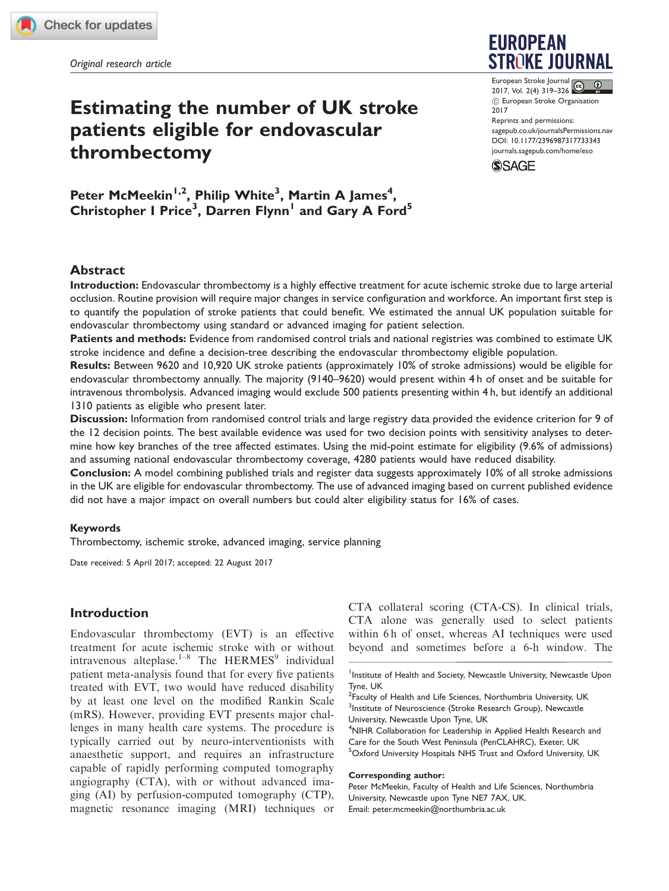Original research article

# Estimating the number of UK stroke patients eligible for endovascular thrombectomy

Peter McMeekin<sup>1,2</sup>, Philip White<sup>3</sup>, Martin A James<sup>4</sup>, Christopher I Price<sup>3</sup>, Darren Flynn<sup>1</sup> and Gary A Ford<sup>5</sup>

# **EUROPEAN STROKE JOURNAL**

European Stroke Journal 2017, Vol. 2(4) 319–326  $C$  European Stroke Organisation 2017 Reprints and permissions: [sagepub.co.uk/journalsPermissions.nav](https://uk.sagepub.com/en-gb/journals-permissions) DOI: [10.1177/2396987317733343](https://doi.org/10.1177/2396987317733343) <journals.sagepub.com/home/eso>



# Abstract

Introduction: Endovascular thrombectomy is a highly effective treatment for acute ischemic stroke due to large arterial occlusion. Routine provision will require major changes in service configuration and workforce. An important first step is to quantify the population of stroke patients that could benefit. We estimated the annual UK population suitable for endovascular thrombectomy using standard or advanced imaging for patient selection.

Patients and methods: Evidence from randomised control trials and national registries was combined to estimate UK stroke incidence and define a decision-tree describing the endovascular thrombectomy eligible population.

Results: Between 9620 and 10,920 UK stroke patients (approximately 10% of stroke admissions) would be eligible for endovascular thrombectomy annually. The majority (9140–9620) would present within 4 h of onset and be suitable for intravenous thrombolysis. Advanced imaging would exclude 500 patients presenting within 4 h, but identify an additional 1310 patients as eligible who present later.

Discussion: Information from randomised control trials and large registry data provided the evidence criterion for 9 of the 12 decision points. The best available evidence was used for two decision points with sensitivity analyses to determine how key branches of the tree affected estimates. Using the mid-point estimate for eligibility (9.6% of admissions) and assuming national endovascular thrombectomy coverage, 4280 patients would have reduced disability.

Conclusion: A model combining published trials and register data suggests approximately 10% of all stroke admissions in the UK are eligible for endovascular thrombectomy. The use of advanced imaging based on current published evidence did not have a major impact on overall numbers but could alter eligibility status for 16% of cases.

## Keywords

Thrombectomy, ischemic stroke, advanced imaging, service planning

Date received: 5 April 2017; accepted: 22 August 2017

# Introduction

Endovascular thrombectomy (EVT) is an effective treatment for acute ischemic stroke with or without intravenous alteplase.<sup>1–8</sup> The HERMES<sup>9</sup> individual patient meta-analysis found that for every five patients treated with EVT, two would have reduced disability by at least one level on the modified Rankin Scale (mRS). However, providing EVT presents major challenges in many health care systems. The procedure is typically carried out by neuro-interventionists with anaesthetic support, and requires an infrastructure capable of rapidly performing computed tomography angiography (CTA), with or without advanced imaging (AI) by perfusion-computed tomography (CTP), magnetic resonance imaging (MRI) techniques or CTA collateral scoring (CTA-CS). In clinical trials, CTA alone was generally used to select patients within 6 h of onset, whereas AI techniques were used beyond and sometimes before a 6-h window. The

<sup>4</sup>NIHR Collaboration for Leadership in Applied Health Research and Care for the South West Peninsula (PenCLAHRC), Exeter, UK 5 Oxford University Hospitals NHS Trust and Oxford University, UK

#### Corresponding author:

Peter McMeekin, Faculty of Health and Life Sciences, Northumbria University, Newcastle upon Tyne NE7 7AX, UK. Email: peter.mcmeekin@northumbria.ac.uk

<sup>&</sup>lt;sup>1</sup>Institute of Health and Society, Newcastle University, Newcastle Upon Tyne, UK

<sup>&</sup>lt;sup>2</sup> Faculty of Health and Life Sciences, Northumbria University, UK <sup>3</sup>Institute of Neuroscience (Stroke Research Group), Newcastle University, Newcastle Upon Tyne, UK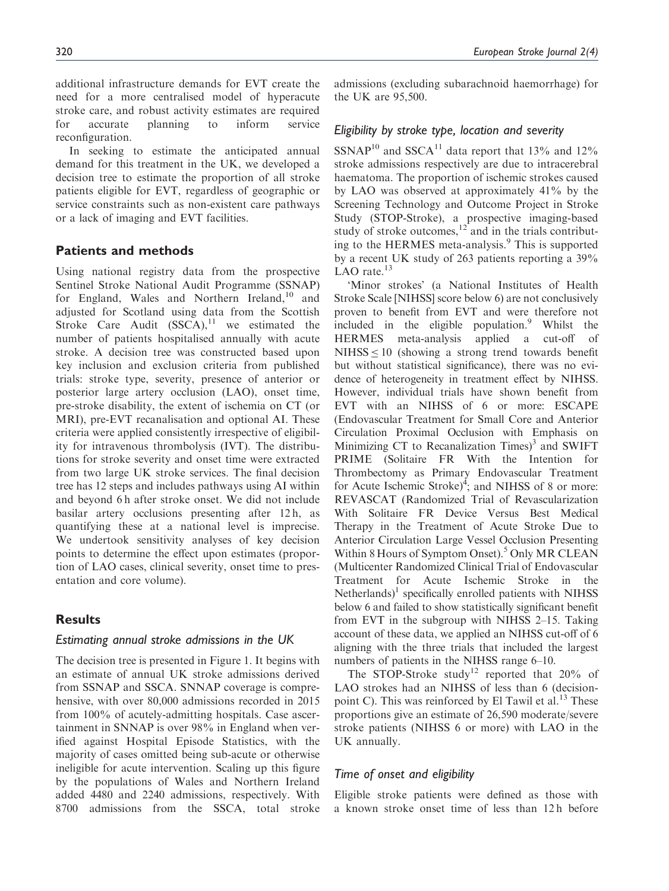additional infrastructure demands for EVT create the need for a more centralised model of hyperacute stroke care, and robust activity estimates are required for accurate planning to inform service reconfiguration.

In seeking to estimate the anticipated annual demand for this treatment in the UK, we developed a decision tree to estimate the proportion of all stroke patients eligible for EVT, regardless of geographic or service constraints such as non-existent care pathways or a lack of imaging and EVT facilities.

## Patients and methods

Using national registry data from the prospective Sentinel Stroke National Audit Programme (SSNAP) for England, Wales and Northern Ireland,  $10$  and adjusted for Scotland using data from the Scottish Stroke Care Audit  $(SSCA)$ ,<sup>11</sup> we estimated the number of patients hospitalised annually with acute stroke. A decision tree was constructed based upon key inclusion and exclusion criteria from published trials: stroke type, severity, presence of anterior or posterior large artery occlusion (LAO), onset time, pre-stroke disability, the extent of ischemia on CT (or MRI), pre-EVT recanalisation and optional AI. These criteria were applied consistently irrespective of eligibility for intravenous thrombolysis (IVT). The distributions for stroke severity and onset time were extracted from two large UK stroke services. The final decision tree has 12 steps and includes pathways using AI within and beyond 6 h after stroke onset. We did not include basilar artery occlusions presenting after 12 h, as quantifying these at a national level is imprecise. We undertook sensitivity analyses of key decision points to determine the effect upon estimates (proportion of LAO cases, clinical severity, onset time to presentation and core volume).

## **Results**

#### Estimating annual stroke admissions in the UK

The decision tree is presented in Figure 1. It begins with an estimate of annual UK stroke admissions derived from SSNAP and SSCA. SNNAP coverage is comprehensive, with over 80,000 admissions recorded in 2015 from 100% of acutely-admitting hospitals. Case ascertainment in SNNAP is over 98% in England when verified against Hospital Episode Statistics, with the majority of cases omitted being sub-acute or otherwise ineligible for acute intervention. Scaling up this figure by the populations of Wales and Northern Ireland added 4480 and 2240 admissions, respectively. With 8700 admissions from the SSCA, total stroke admissions (excluding subarachnoid haemorrhage) for the UK are 95,500.

## Eligibility by stroke type, location and severity

 $SSNAP<sup>10</sup>$  and  $SSCA<sup>11</sup>$  data report that 13% and 12% stroke admissions respectively are due to intracerebral haematoma. The proportion of ischemic strokes caused by LAO was observed at approximately 41% by the Screening Technology and Outcome Project in Stroke Study (STOP-Stroke), a prospective imaging-based study of stroke outcomes, $12^2$  and in the trials contributing to the HERMES meta-analysis.<sup>9</sup> This is supported by a recent UK study of 263 patients reporting a 39% LAO rate. $13$ 

'Minor strokes' (a National Institutes of Health Stroke Scale [NIHSS] score below 6) are not conclusively proven to benefit from EVT and were therefore not included in the eligible population. $9$  Whilst the HERMES meta-analysis applied a cut-off of  $NIHSS \leq 10$  (showing a strong trend towards benefit but without statistical significance), there was no evidence of heterogeneity in treatment effect by NIHSS. However, individual trials have shown benefit from EVT with an NIHSS of 6 or more: ESCAPE (Endovascular Treatment for Small Core and Anterior Circulation Proximal Occlusion with Emphasis on Minimizing CT to Recanalization Times $^3$  and SWIFT PRIME (Solitaire FR With the Intention for Thrombectomy as Primary Endovascular Treatment for Acute Ischemic Stroke) $\frac{3}{4}$ ; and NIHSS of 8 or more: REVASCAT (Randomized Trial of Revascularization With Solitaire FR Device Versus Best Medical Therapy in the Treatment of Acute Stroke Due to Anterior Circulation Large Vessel Occlusion Presenting Within 8 Hours of Symptom Onset).<sup>5</sup> Only MR CLEAN (Multicenter Randomized Clinical Trial of Endovascular Treatment for Acute Ischemic Stroke in the  $N$ etherlands)<sup>1</sup> specifically enrolled patients with NIHSS below 6 and failed to show statistically significant benefit from EVT in the subgroup with NIHSS 2–15. Taking account of these data, we applied an NIHSS cut-off of 6 aligning with the three trials that included the largest numbers of patients in the NIHSS range 6–10.

The STOP-Stroke study<sup>12</sup> reported that  $20\%$  of LAO strokes had an NIHSS of less than 6 (decisionpoint C). This was reinforced by El Tawil et al. $^{13}$  These proportions give an estimate of 26,590 moderate/severe stroke patients (NIHSS 6 or more) with LAO in the UK annually.

## Time of onset and eligibility

Eligible stroke patients were defined as those with a known stroke onset time of less than 12 h before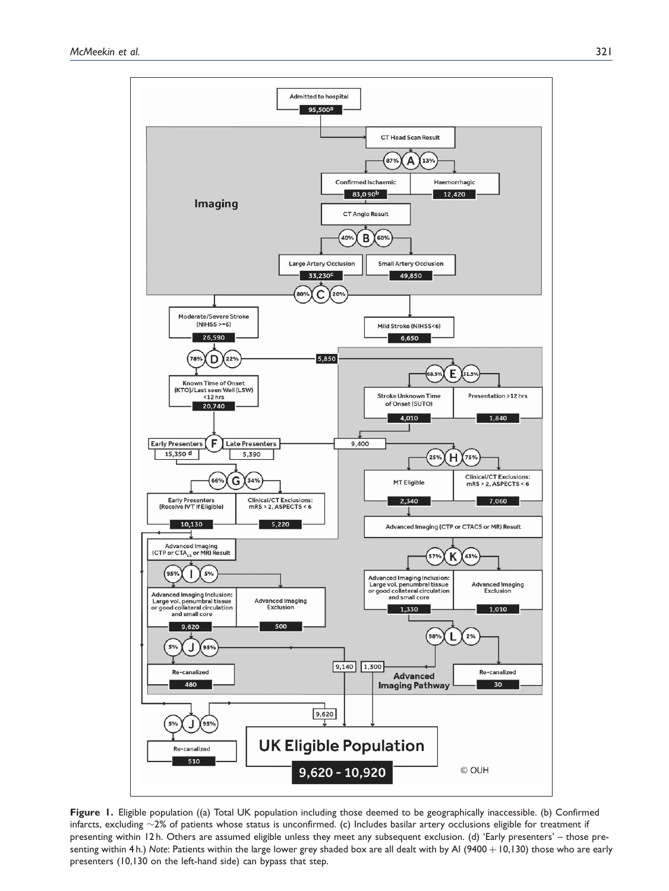



Figure 1. Eligible population ((a) Total UK population including those deemed to be geographically inaccessible. (b) Confirmed infarcts, excluding  $\sim$ 2% of patients whose status is unconfirmed. (c) Includes basilar artery occlusions eligible for treatment if presenting within 12 h. Others are assumed eligible unless they meet any subsequent exclusion. (d) 'Early presenters' – those presenting within 4 h.) Note: Patients within the large lower grey shaded box are all dealt with by AI (9400 + 10,130) those who are early presenters (10,130 on the left-hand side) can bypass that step.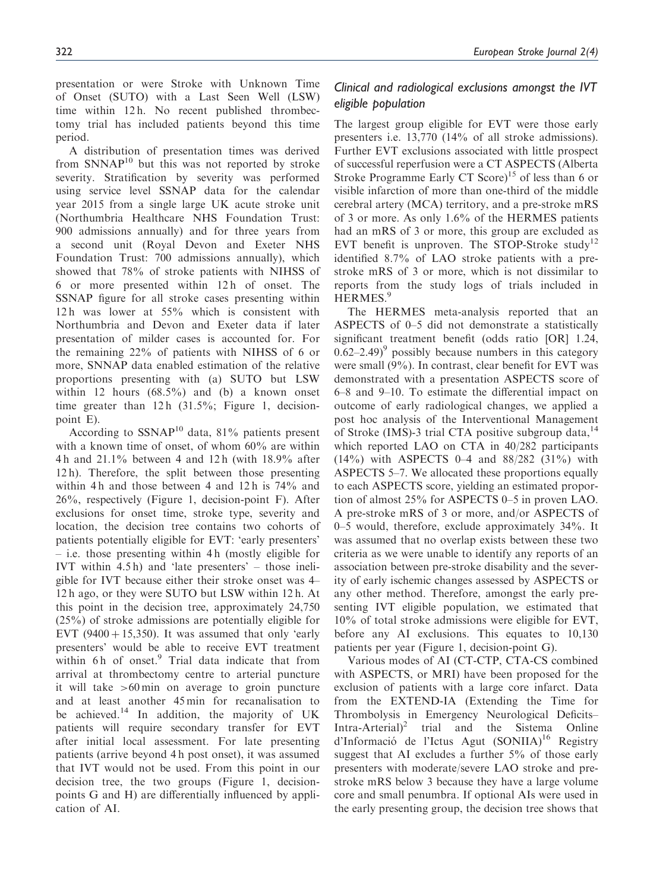presentation or were Stroke with Unknown Time of Onset (SUTO) with a Last Seen Well (LSW) time within 12 h. No recent published thrombectomy trial has included patients beyond this time period.

A distribution of presentation times was derived from  $SNNAP<sup>10</sup>$  but this was not reported by stroke severity. Stratification by severity was performed using service level SSNAP data for the calendar year 2015 from a single large UK acute stroke unit (Northumbria Healthcare NHS Foundation Trust: 900 admissions annually) and for three years from a second unit (Royal Devon and Exeter NHS Foundation Trust: 700 admissions annually), which showed that 78% of stroke patients with NIHSS of 6 or more presented within 12 h of onset. The SSNAP figure for all stroke cases presenting within 12 h was lower at 55% which is consistent with Northumbria and Devon and Exeter data if later presentation of milder cases is accounted for. For the remaining 22% of patients with NIHSS of 6 or more, SNNAP data enabled estimation of the relative proportions presenting with (a) SUTO but LSW within 12 hours  $(68.5\%)$  and (b) a known onset time greater than  $12 h$  (31.5%; Figure 1, decisionpoint E).

According to  $SSNAP^{10}$  data, 81% patients present with a known time of onset, of whom 60% are within 4 h and 21.1% between 4 and 12 h (with 18.9% after 12 h). Therefore, the split between those presenting within 4h and those between 4 and  $12h$  is  $74\%$  and 26%, respectively (Figure 1, decision-point F). After exclusions for onset time, stroke type, severity and location, the decision tree contains two cohorts of patients potentially eligible for EVT: 'early presenters'  $-$  i.e. those presenting within 4h (mostly eligible for IVT within 4.5 h) and 'late presenters' – those ineligible for IVT because either their stroke onset was 4– 12 h ago, or they were SUTO but LSW within 12 h. At this point in the decision tree, approximately 24,750 (25%) of stroke admissions are potentially eligible for EVT (9400 + 15,350). It was assumed that only 'early presenters' would be able to receive EVT treatment within 6h of onset.<sup>9</sup> Trial data indicate that from arrival at thrombectomy centre to arterial puncture it will take  $>60$  min on average to groin puncture and at least another 45 min for recanalisation to be achieved.<sup>14</sup> In addition, the majority of UK patients will require secondary transfer for EVT after initial local assessment. For late presenting patients (arrive beyond 4 h post onset), it was assumed that IVT would not be used. From this point in our decision tree, the two groups (Figure 1, decisionpoints G and H) are differentially influenced by application of AI.

# Clinical and radiological exclusions amongst the IVT eligible population

The largest group eligible for EVT were those early presenters i.e. 13,770 (14% of all stroke admissions). Further EVT exclusions associated with little prospect of successful reperfusion were a CT ASPECTS (Alberta Stroke Programme Early CT Score)<sup>15</sup> of less than 6 or visible infarction of more than one-third of the middle cerebral artery (MCA) territory, and a pre-stroke mRS of 3 or more. As only 1.6% of the HERMES patients had an mRS of 3 or more, this group are excluded as EVT benefit is unproven. The STOP-Stroke study<sup>12</sup> identified 8.7% of LAO stroke patients with a prestroke mRS of 3 or more, which is not dissimilar to reports from the study logs of trials included in HERMES.<sup>9</sup>

The HERMES meta-analysis reported that an ASPECTS of 0–5 did not demonstrate a statistically significant treatment benefit (odds ratio [OR] 1.24,  $(0.62-2.49)^9$  possibly because numbers in this category were small (9%). In contrast, clear benefit for EVT was demonstrated with a presentation ASPECTS score of 6–8 and 9–10. To estimate the differential impact on outcome of early radiological changes, we applied a post hoc analysis of the Interventional Management of Stroke (IMS)-3 trial CTA positive subgroup data,<sup>14</sup> which reported LAO on CTA in 40/282 participants (14%) with ASPECTS 0–4 and 88/282 (31%) with ASPECTS 5–7. We allocated these proportions equally to each ASPECTS score, yielding an estimated proportion of almost 25% for ASPECTS 0–5 in proven LAO. A pre-stroke mRS of 3 or more, and/or ASPECTS of 0–5 would, therefore, exclude approximately 34%. It was assumed that no overlap exists between these two criteria as we were unable to identify any reports of an association between pre-stroke disability and the severity of early ischemic changes assessed by ASPECTS or any other method. Therefore, amongst the early presenting IVT eligible population, we estimated that 10% of total stroke admissions were eligible for EVT, before any AI exclusions. This equates to 10,130 patients per year (Figure 1, decision-point G).

Various modes of AI (CT-CTP, CTA-CS combined with ASPECTS, or MRI) have been proposed for the exclusion of patients with a large core infarct. Data from the EXTEND-IA (Extending the Time for Thrombolysis in Emergency Neurological Deficits– Intra-Arterial)<sup>2</sup> trial and the Sistema Online d'Informació de l'Ictus Agut (SONIIA)<sup>16</sup> Registry suggest that AI excludes a further 5% of those early presenters with moderate/severe LAO stroke and prestroke mRS below 3 because they have a large volume core and small penumbra. If optional AIs were used in the early presenting group, the decision tree shows that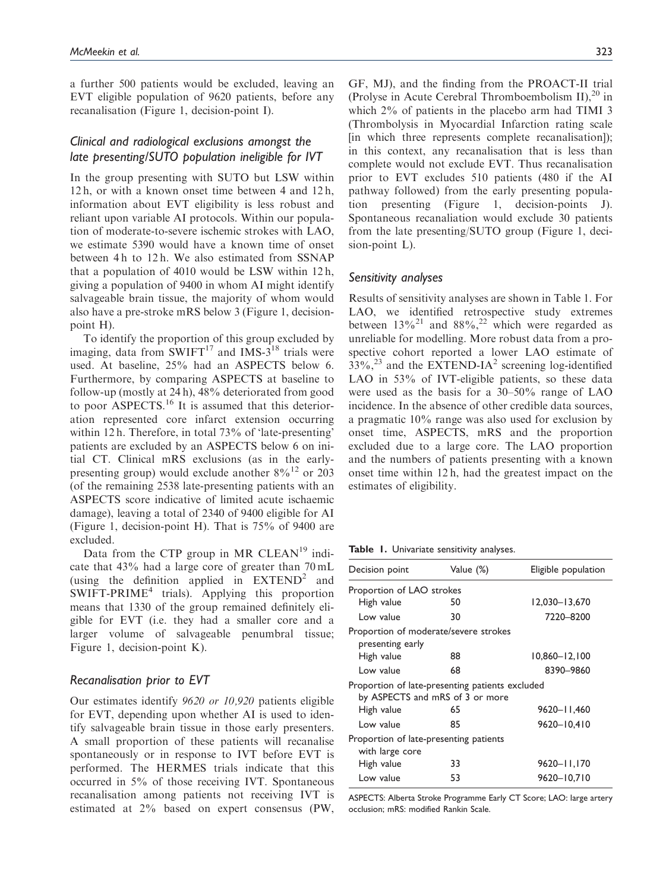a further 500 patients would be excluded, leaving an EVT eligible population of 9620 patients, before any recanalisation (Figure 1, decision-point I).

# Clinical and radiological exclusions amongst the late presenting/SUTO population ineligible for IVT

In the group presenting with SUTO but LSW within 12 h, or with a known onset time between 4 and 12 h, information about EVT eligibility is less robust and reliant upon variable AI protocols. Within our population of moderate-to-severe ischemic strokes with LAO, we estimate 5390 would have a known time of onset between 4h to 12h. We also estimated from SSNAP that a population of 4010 would be LSW within 12 h, giving a population of 9400 in whom AI might identify salvageable brain tissue, the majority of whom would also have a pre-stroke mRS below 3 (Figure 1, decisionpoint H).

To identify the proportion of this group excluded by imaging, data from  $SWIFT^{17}$  and IMS-3<sup>18</sup> trials were used. At baseline, 25% had an ASPECTS below 6. Furthermore, by comparing ASPECTS at baseline to follow-up (mostly at 24 h), 48% deteriorated from good to poor ASPECTS.<sup>16</sup> It is assumed that this deterioration represented core infarct extension occurring within 12 h. Therefore, in total 73% of 'late-presenting' patients are excluded by an ASPECTS below 6 on initial CT. Clinical mRS exclusions (as in the earlypresenting group) would exclude another  $8\%^{12}$  or 203 (of the remaining 2538 late-presenting patients with an ASPECTS score indicative of limited acute ischaemic damage), leaving a total of 2340 of 9400 eligible for AI (Figure 1, decision-point H). That is 75% of 9400 are excluded.

Data from the CTP group in MR CLEAN<sup>19</sup> indicate that 43% had a large core of greater than 70 mL (using the definition applied in  $EXTEND^2$  and SWIFT-PRIME<sup>4</sup> trials). Applying this proportion means that 1330 of the group remained definitely eligible for EVT (i.e. they had a smaller core and a larger volume of salvageable penumbral tissue; Figure 1, decision-point K).

#### Recanalisation prior to EVT

Our estimates identify 9620 or 10,920 patients eligible for EVT, depending upon whether AI is used to identify salvageable brain tissue in those early presenters. A small proportion of these patients will recanalise spontaneously or in response to IVT before EVT is performed. The HERMES trials indicate that this occurred in 5% of those receiving IVT. Spontaneous recanalisation among patients not receiving IVT is estimated at 2% based on expert consensus (PW, GF, MJ), and the finding from the PROACT-II trial (Prolyse in Acute Cerebral Thromboembolism II), $^{20}$  in which 2% of patients in the placebo arm had TIMI 3 (Thrombolysis in Myocardial Infarction rating scale [in which three represents complete recanalisation]); in this context, any recanalisation that is less than complete would not exclude EVT. Thus recanalisation prior to EVT excludes 510 patients (480 if the AI pathway followed) from the early presenting population presenting (Figure 1, decision-points J). Spontaneous recanaliation would exclude 30 patients from the late presenting/SUTO group (Figure 1, decision-point L).

#### Sensitivity analyses

Results of sensitivity analyses are shown in Table 1. For LAO, we identified retrospective study extremes between  $13\%^{21}$  and  $88\%^{22}$  which were regarded as unreliable for modelling. More robust data from a prospective cohort reported a lower LAO estimate of  $33\%$ ,<sup>23</sup> and the EXTEND-IA<sup>2</sup> screening log-identified LAO in 53% of IVT-eligible patients, so these data were used as the basis for a 30–50% range of LAO incidence. In the absence of other credible data sources, a pragmatic 10% range was also used for exclusion by onset time, ASPECTS, mRS and the proportion excluded due to a large core. The LAO proportion and the numbers of patients presenting with a known onset time within 12 h, had the greatest impact on the estimates of eligibility.

Table 1. Univariate sensitivity analyses.

| Decision point                                            | Value (%)                                                                                | Eligible population |
|-----------------------------------------------------------|------------------------------------------------------------------------------------------|---------------------|
| Proportion of LAO strokes                                 |                                                                                          |                     |
| High value                                                | 50                                                                                       | 12,030-13,670       |
| Low value                                                 | 30                                                                                       | 7220-8200           |
| presenting early                                          | Proportion of moderate/severe strokes                                                    |                     |
| High value                                                | 88                                                                                       | $10,860 - 12,100$   |
| Low value                                                 | 68                                                                                       | 8390-9860           |
| High value                                                | Proportion of late-presenting patients excluded<br>by ASPECTS and mRS of 3 or more<br>65 | 9620-11.460         |
| Low value                                                 | 85                                                                                       | 9620-10,410         |
| Proportion of late-presenting patients<br>with large core |                                                                                          |                     |
| High value                                                | 33                                                                                       | 9620-11,170         |
| Low value                                                 | 53                                                                                       | 9620-10.710         |
|                                                           |                                                                                          |                     |

ASPECTS: Alberta Stroke Programme Early CT Score; LAO: large artery occlusion; mRS: modified Rankin Scale.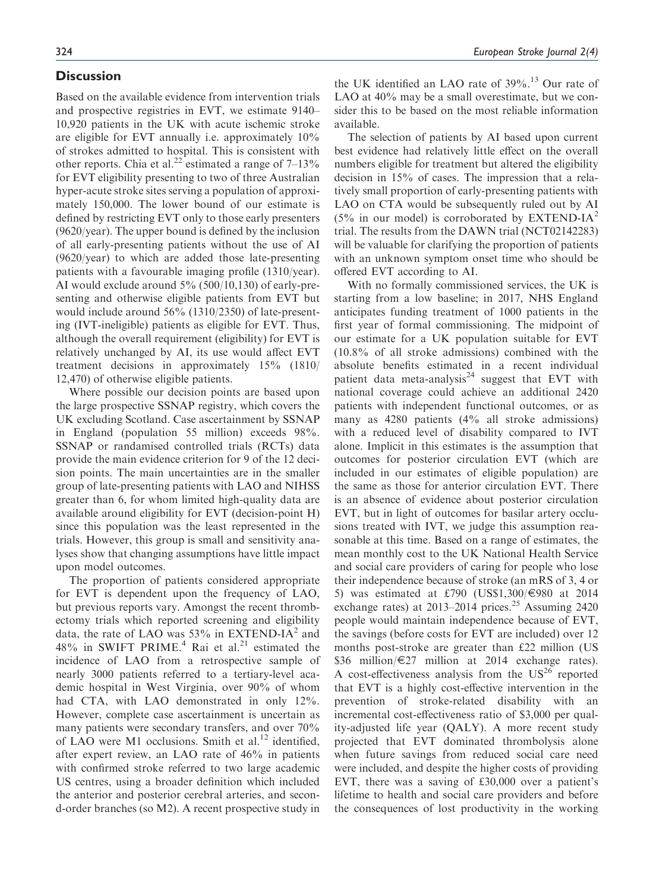## **Discussion**

Based on the available evidence from intervention trials and prospective registries in EVT, we estimate 9140– 10,920 patients in the UK with acute ischemic stroke are eligible for EVT annually i.e. approximately 10% of strokes admitted to hospital. This is consistent with other reports. Chia et al.<sup>22</sup> estimated a range of  $7-13\%$ for EVT eligibility presenting to two of three Australian hyper-acute stroke sites serving a population of approximately 150,000. The lower bound of our estimate is defined by restricting EVT only to those early presenters (9620/year). The upper bound is defined by the inclusion of all early-presenting patients without the use of AI (9620/year) to which are added those late-presenting patients with a favourable imaging profile (1310/year). AI would exclude around 5% (500/10,130) of early-presenting and otherwise eligible patients from EVT but would include around 56% (1310/2350) of late-presenting (IVT-ineligible) patients as eligible for EVT. Thus, although the overall requirement (eligibility) for EVT is relatively unchanged by AI, its use would affect EVT treatment decisions in approximately 15% (1810/ 12,470) of otherwise eligible patients.

Where possible our decision points are based upon the large prospective SSNAP registry, which covers the UK excluding Scotland. Case ascertainment by SSNAP in England (population 55 million) exceeds 98%. SSNAP or randamised controlled trials (RCTs) data provide the main evidence criterion for 9 of the 12 decision points. The main uncertainties are in the smaller group of late-presenting patients with LAO and NIHSS greater than 6, for whom limited high-quality data are available around eligibility for EVT (decision-point H) since this population was the least represented in the trials. However, this group is small and sensitivity analyses show that changing assumptions have little impact upon model outcomes.

The proportion of patients considered appropriate for EVT is dependent upon the frequency of LAO, but previous reports vary. Amongst the recent thrombectomy trials which reported screening and eligibility data, the rate of LAO was  $53\%$  in EXTEND-IA<sup>2</sup> and 48% in SWIFT PRIME.<sup>4</sup> Rai et al.<sup>21</sup> estimated the incidence of LAO from a retrospective sample of nearly 3000 patients referred to a tertiary-level academic hospital in West Virginia, over 90% of whom had CTA, with LAO demonstrated in only 12%. However, complete case ascertainment is uncertain as many patients were secondary transfers, and over 70% of LAO were M1 occlusions. Smith et al.<sup>12</sup> identified, after expert review, an LAO rate of 46% in patients with confirmed stroke referred to two large academic US centres, using a broader definition which included the anterior and posterior cerebral arteries, and second-order branches (so M2). A recent prospective study in the UK identified an LAO rate of  $39\%$ .<sup>13</sup> Our rate of LAO at  $40\%$  may be a small overestimate, but we consider this to be based on the most reliable information available.

The selection of patients by AI based upon current best evidence had relatively little effect on the overall numbers eligible for treatment but altered the eligibility decision in 15% of cases. The impression that a relatively small proportion of early-presenting patients with LAO on CTA would be subsequently ruled out by AI  $(5\%$  in our model) is corroborated by EXTEND-IA<sup>2</sup> trial. The results from the DAWN trial (NCT02142283) will be valuable for clarifying the proportion of patients with an unknown symptom onset time who should be offered EVT according to AI.

With no formally commissioned services, the UK is starting from a low baseline; in 2017, NHS England anticipates funding treatment of 1000 patients in the first year of formal commissioning. The midpoint of our estimate for a UK population suitable for EVT (10.8% of all stroke admissions) combined with the absolute benefits estimated in a recent individual patient data meta-analysis<sup>24</sup> suggest that EVT with national coverage could achieve an additional 2420 patients with independent functional outcomes, or as many as 4280 patients (4% all stroke admissions) with a reduced level of disability compared to IVT alone. Implicit in this estimates is the assumption that outcomes for posterior circulation EVT (which are included in our estimates of eligible population) are the same as those for anterior circulation EVT. There is an absence of evidence about posterior circulation EVT, but in light of outcomes for basilar artery occlusions treated with IVT, we judge this assumption reasonable at this time. Based on a range of estimates, the mean monthly cost to the UK National Health Service and social care providers of caring for people who lose their independence because of stroke (an mRS of 3, 4 or 5) was estimated at £790 (US\$1,300/ $\in$ 980 at 2014 exchange rates) at  $2013-2014$  prices.<sup>25</sup> Assuming 2420 people would maintain independence because of EVT, the savings (before costs for EVT are included) over 12 months post-stroke are greater than £22 million (US \$36 million/E27 million at 2014 exchange rates). A cost-effectiveness analysis from the  $US^{26}$  reported that EVT is a highly cost-effective intervention in the prevention of stroke-related disability with an incremental cost-effectiveness ratio of \$3,000 per quality-adjusted life year (QALY). A more recent study projected that EVT dominated thrombolysis alone when future savings from reduced social care need were included, and despite the higher costs of providing EVT, there was a saving of £30,000 over a patient's lifetime to health and social care providers and before the consequences of lost productivity in the working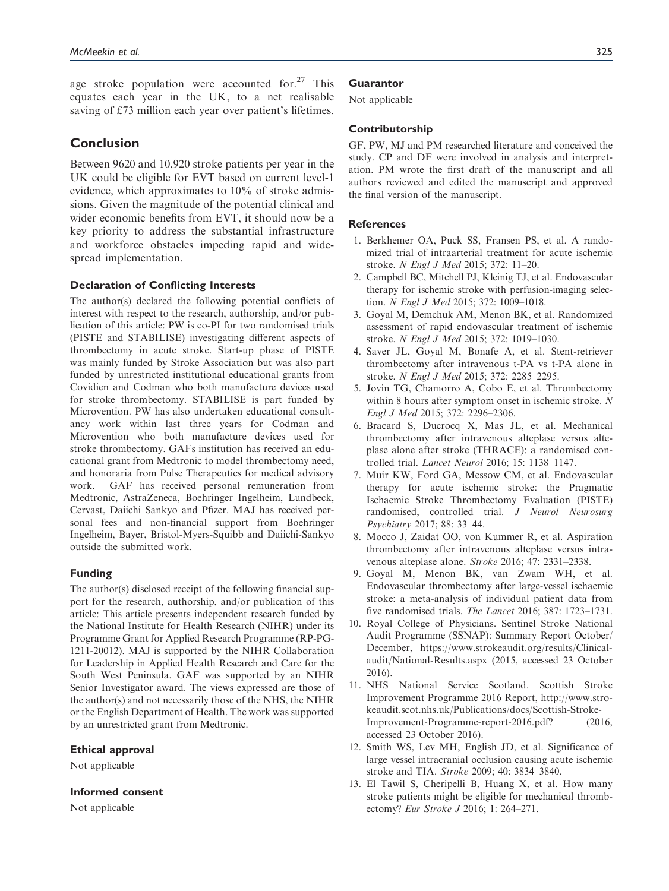age stroke population were accounted for. $27$  This equates each year in the UK, to a net realisable saving of £73 million each year over patient's lifetimes.

# **Conclusion**

Between 9620 and 10,920 stroke patients per year in the UK could be eligible for EVT based on current level-1 evidence, which approximates to 10% of stroke admissions. Given the magnitude of the potential clinical and wider economic benefits from EVT, it should now be a key priority to address the substantial infrastructure and workforce obstacles impeding rapid and widespread implementation.

#### Declaration of Conflicting Interests

The author(s) declared the following potential conflicts of interest with respect to the research, authorship, and/or publication of this article: PW is co-PI for two randomised trials (PISTE and STABILISE) investigating different aspects of thrombectomy in acute stroke. Start-up phase of PISTE was mainly funded by Stroke Association but was also part funded by unrestricted institutional educational grants from Covidien and Codman who both manufacture devices used for stroke thrombectomy. STABILISE is part funded by Microvention. PW has also undertaken educational consultancy work within last three years for Codman and Microvention who both manufacture devices used for stroke thrombectomy. GAFs institution has received an educational grant from Medtronic to model thrombectomy need, and honoraria from Pulse Therapeutics for medical advisory work. GAF has received personal remuneration from Medtronic, AstraZeneca, Boehringer Ingelheim, Lundbeck, Cervast, Daiichi Sankyo and Pfizer. MAJ has received personal fees and non-financial support from Boehringer Ingelheim, Bayer, Bristol-Myers-Squibb and Daiichi-Sankyo outside the submitted work.

## Funding

The author(s) disclosed receipt of the following financial support for the research, authorship, and/or publication of this article: This article presents independent research funded by the National Institute for Health Research (NIHR) under its Programme Grant for Applied Research Programme (RP-PG-1211-20012). MAJ is supported by the NIHR Collaboration for Leadership in Applied Health Research and Care for the South West Peninsula. GAF was supported by an NIHR Senior Investigator award. The views expressed are those of the author(s) and not necessarily those of the NHS, the NIHR or the English Department of Health. The work was supported by an unrestricted grant from Medtronic.

#### Ethical approval

Not applicable

#### Informed consent

Not applicable

#### **Guarantor**

Not applicable

#### Contributorship

GF, PW, MJ and PM researched literature and conceived the study. CP and DF were involved in analysis and interpretation. PM wrote the first draft of the manuscript and all authors reviewed and edited the manuscript and approved the final version of the manuscript.

## **References**

- 1. Berkhemer OA, Puck SS, Fransen PS, et al. A randomized trial of intraarterial treatment for acute ischemic stroke. N Engl J Med 2015; 372: 11–20.
- 2. Campbell BC, Mitchell PJ, Kleinig TJ, et al. Endovascular therapy for ischemic stroke with perfusion-imaging selection. N Engl J Med 2015; 372: 1009–1018.
- 3. Goyal M, Demchuk AM, Menon BK, et al. Randomized assessment of rapid endovascular treatment of ischemic stroke. N Engl J Med 2015; 372: 1019–1030.
- 4. Saver JL, Goyal M, Bonafe A, et al. Stent-retriever thrombectomy after intravenous t-PA vs t-PA alone in stroke. N Engl J Med 2015; 372: 2285–2295.
- 5. Jovin TG, Chamorro A, Cobo E, et al. Thrombectomy within 8 hours after symptom onset in ischemic stroke. N Engl J Med 2015; 372: 2296–2306.
- 6. Bracard S, Ducrocq X, Mas JL, et al. Mechanical thrombectomy after intravenous alteplase versus alteplase alone after stroke (THRACE): a randomised controlled trial. Lancet Neurol 2016; 15: 1138–1147.
- 7. Muir KW, Ford GA, Messow CM, et al. Endovascular therapy for acute ischemic stroke: the Pragmatic Ischaemic Stroke Thrombectomy Evaluation (PISTE) randomised, controlled trial. J Neurol Neurosurg Psychiatry 2017; 88: 33–44.
- 8. Mocco J, Zaidat OO, von Kummer R, et al. Aspiration thrombectomy after intravenous alteplase versus intravenous alteplase alone. Stroke 2016; 47: 2331–2338.
- 9. Goyal M, Menon BK, van Zwam WH, et al. Endovascular thrombectomy after large-vessel ischaemic stroke: a meta-analysis of individual patient data from five randomised trials. The Lancet 2016; 387: 1723–1731.
- 10. Royal College of Physicians. Sentinel Stroke National Audit Programme (SSNAP): Summary Report October/ December, [https://www.strokeaudit.org/results/Clinical](https://www.strokeaudit.org/results/Clinical-audit/National-Results.aspx)[audit/National-Results.aspx](https://www.strokeaudit.org/results/Clinical-audit/National-Results.aspx) (2015, accessed 23 October 2016).
- 11. NHS National Service Scotland. Scottish Stroke Improvement Programme 2016 Report, [http://www.stro](http://www.strokeaudit.scot.nhs.uk/Publications/docs/Scottish-Stroke-Improvement-Programme-report-2016.pdf?)[keaudit.scot.nhs.uk/Publications/docs/Scottish-Stroke-](http://www.strokeaudit.scot.nhs.uk/Publications/docs/Scottish-Stroke-Improvement-Programme-report-2016.pdf?)[Improvement-Programme-report-2016.pdf?](http://www.strokeaudit.scot.nhs.uk/Publications/docs/Scottish-Stroke-Improvement-Programme-report-2016.pdf?) (2016, accessed 23 October 2016).
- 12. Smith WS, Lev MH, English JD, et al. Significance of large vessel intracranial occlusion causing acute ischemic stroke and TIA. Stroke 2009; 40: 3834–3840.
- 13. El Tawil S, Cheripelli B, Huang X, et al. How many stroke patients might be eligible for mechanical thrombectomy? Eur Stroke J 2016; 1: 264–271.